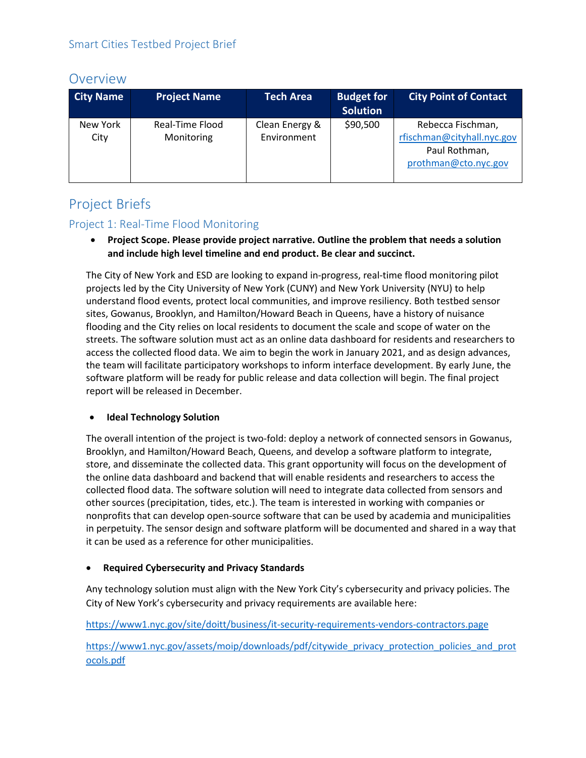# Overview

| <b>City Name</b> | <b>Project Name</b>           | <b>Tech Area</b>              | <b>Budget for</b><br><b>Solution</b> | <b>City Point of Contact</b>                                                             |
|------------------|-------------------------------|-------------------------------|--------------------------------------|------------------------------------------------------------------------------------------|
| New York<br>City | Real-Time Flood<br>Monitoring | Clean Energy &<br>Environment | \$90,500                             | Rebecca Fischman,<br>rfischman@cityhall.nyc.gov<br>Paul Rothman,<br>prothman@cto.nyc.gov |

# Project Briefs

## Project 1: Real-Time Flood Monitoring

• **Project Scope. Please provide project narrative. Outline the problem that needs a solution and include high level timeline and end product. Be clear and succinct.**

The City of New York and ESD are looking to expand in-progress, real-time flood monitoring pilot projects led by the City University of New York (CUNY) and New York University (NYU) to help understand flood events, protect local communities, and improve resiliency. Both testbed sensor sites, Gowanus, Brooklyn, and Hamilton/Howard Beach in Queens, have a history of nuisance flooding and the City relies on local residents to document the scale and scope of water on the streets. The software solution must act as an online data dashboard for residents and researchers to access the collected flood data. We aim to begin the work in January 2021, and as design advances, the team will facilitate participatory workshops to inform interface development. By early June, the software platform will be ready for public release and data collection will begin. The final project report will be released in December.

## • **Ideal Technology Solution**

The overall intention of the project is two-fold: deploy a network of connected sensors in Gowanus, Brooklyn, and Hamilton/Howard Beach, Queens, and develop a software platform to integrate, store, and disseminate the collected data. This grant opportunity will focus on the development of the online data dashboard and backend that will enable residents and researchers to access the collected flood data. The software solution will need to integrate data collected from sensors and other sources (precipitation, tides, etc.). The team is interested in working with companies or nonprofits that can develop open-source software that can be used by academia and municipalities in perpetuity. The sensor design and software platform will be documented and shared in a way that it can be used as a reference for other municipalities.

## • **Required Cybersecurity and Privacy Standards**

Any technology solution must align with the New York City's cybersecurity and privacy policies. The City of New York's cybersecurity and privacy requirements are available here:

<https://www1.nyc.gov/site/doitt/business/it-security-requirements-vendors-contractors.page>

[https://www1.nyc.gov/assets/moip/downloads/pdf/citywide\\_privacy\\_protection\\_policies\\_and\\_prot](https://www1.nyc.gov/assets/moip/downloads/pdf/citywide_privacy_protection_policies_and_protocols.pdf) [ocols.pdf](https://www1.nyc.gov/assets/moip/downloads/pdf/citywide_privacy_protection_policies_and_protocols.pdf)